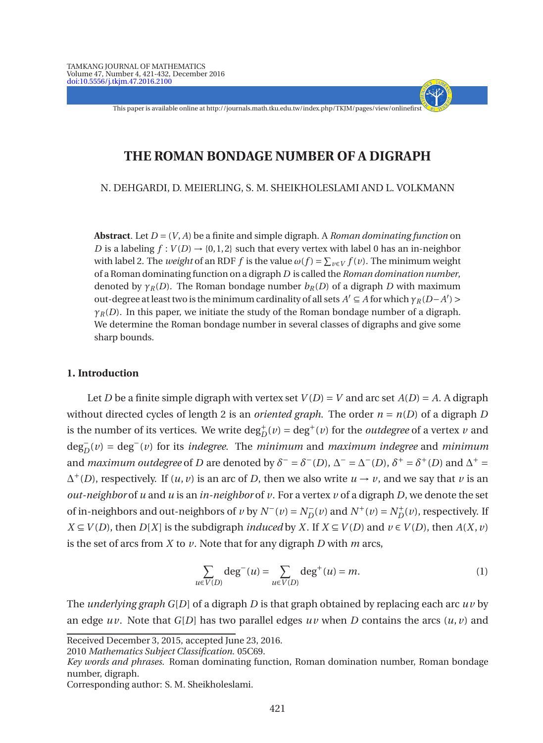This paper is available online at http://journals.math.tku.edu.tw/index.php/TKJM/pages/view/onlinefirst

- + - - - -

# **THE ROMAN BONDAGE NUMBER OF A DIGRAPH**

N. DEHGARDI, D. MEIERLING, S. M. SHEIKHOLESLAMI AND L. VOLKMANN

**Abstract**. Let *D* = (*V*, *A*) be a finite and simple digraph. A *Roman dominating function* on *D* is a labeling  $f : V(D) \rightarrow \{0, 1, 2\}$  such that every vertex with label 0 has an in-neighbor with label 2. The *weight* of an RDF  $f$  is the value  $\omega(f) = \sum_{v \in V} f(v)$ . The minimum weight of a Roman dominating function on a digraph *D* is called the *Roman domination number*, denoted by  $\gamma_R(D)$ . The Roman bondage number  $b_R(D)$  of a digraph *D* with maximum out-degree at least two is the minimum cardinality of all sets  $A' \subseteq A$  for which  $\gamma_R(D-A')$  $\gamma_R(D)$ . In this paper, we initiate the study of the Roman bondage number of a digraph. We determine the Roman bondage number in several classes of digraphs and give some sharp bounds.

### **1. Introduction**

Let *D* be a finite simple digraph with vertex set  $V(D) = V$  and arc set  $A(D) = A$ . A digraph without directed cycles of length 2 is an *oriented graph*. The order  $n = n(D)$  of a digraph *D* is the number of its vertices. We write  $\deg_D^+(v) = \deg^+(v)$  for the *outdegree* of a vertex *v* and deg<sup>−</sup> *D* (*v*) = deg<sup>−</sup> (*v*) for its *indegree*. The *minimum* and *maximum indegree* and *minimum* and *maximum outdegree* of *D* are denoted by  $\delta^- = \delta^-(D)$ ,  $\Delta^- = \Delta^-(D)$ ,  $\delta^+ = \delta^+(D)$  and  $\Delta^+ =$  $\Delta^+(D)$ , respectively. If  $(u, v)$  is an arc of *D*, then we also write  $u \to v$ , and we say that *v* is an *out-neighbor* of *u* and *u* is an *in-neighbor* of *v*. For a vertex  $\nu$  of a digraph *D*, we denote the set of in-neighbors and out-neighbors of *v* by  $N^-(v) = N_D^-(v)$  and  $N^+(v) = N_D^+(v)$ , respectively. If *X* ⊆ *V*(*D*), then *D*[*X*] is the subdigraph *induced* by *X*. If *X* ⊆ *V*(*D*) and *v* ∈ *V*(*D*), then *A*(*X*, *v*) is the set of arcs from *X* to *v*. Note that for any digraph *D* with *m* arcs,

$$
\sum_{u \in V(D)} \deg^{-}(u) = \sum_{u \in V(D)} \deg^{+}(u) = m.
$$
 (1)

The *underlying graph G*[*D*] of a digraph *D* is that graph obtained by replacing each arc *uv* by an edge  $uv$ . Note that  $G[D]$  has two parallel edges  $uv$  when *D* contains the arcs  $(u, v)$  and

2010 *Mathematics Subject Classification*. 05C69.

Corresponding author: S. M. Sheikholeslami.

Received December 3, 2015, accepted June 23, 2016.

*Key words and phrases*. Roman dominating function, Roman domination number, Roman bondage number, digraph.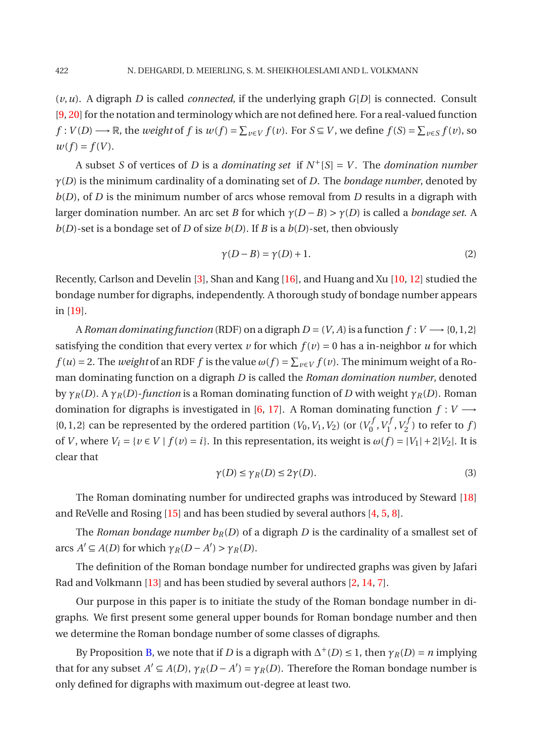$(v, u)$ . A digraph *D* is called *connected*, if the underlying graph  $G[D]$  is connected. Consult [\[9,](#page-10-0) [20\]](#page-10-1) for the notation and terminology which are not defined here. For a real-valued function  $f: V(D) \longrightarrow \mathbb{R}$ , the *weight* of  $f$  is  $w(f) = \sum_{v \in V} f(v)$ . For  $S \subseteq V$ , we define  $f(S) = \sum_{v \in S} f(v)$ , so  $w(f) = f(V)$ .

A subset *S* of vertices of *D* is a *dominating set* if *N* <sup>+</sup>[*S*] = *V* . The *domination number γ*(*D*) is the minimum cardinality of a dominating set of *D*. The *bondage number*, denoted by *b*(*D*), of *D* is the minimum number of arcs whose removal from *D* results in a digraph with larger domination number. An arc set *B* for which *γ*(*D* −*B*) > *γ*(*D*) is called a *bondage set*. A  $b(D)$ -set is a bondage set of *D* of size  $b(D)$ . If *B* is a  $b(D)$ -set, then obviously

$$
\gamma(D - B) = \gamma(D) + 1. \tag{2}
$$

Recently, Carlson and Develin [\[3\]](#page-10-2), Shan and Kang [\[16](#page-10-3)], and Huang and Xu [\[10,](#page-10-4) [12](#page-10-5)] studied the bondage number for digraphs, independently. A thorough study of bondage number appears in [\[19](#page-10-6)].

A *Roman dominating function* (RDF) on a digraph  $D = (V, A)$  is a function  $f: V \longrightarrow \{0, 1, 2\}$ satisfying the condition that every vertex  $\nu$  for which  $f(\nu) = 0$  has a in-neighbor  $\mu$  for which  $f(u) = 2$ . The *weight* of an RDF  $f$  is the value  $\omega(f) = \sum_{v \in V} f(v)$ . The minimum weight of a Roman dominating function on a digraph *D* is called the *Roman domination number*, denoted by *γR*(*D*). A *γR*(*D*)-*function* is a Roman dominating function of *D* with weight *γR*(*D*). Roman domination for digraphs is investigated in [\[6](#page-10-7), [17\]](#page-10-8). A Roman dominating function  $f: V \longrightarrow$  $\{0,1,2\}$  can be represented by the ordered partition  $(V_0, V_1, V_2)$  (or  $(V_0^f)$  $\sigma^{f}_{0}$ ,  $V^{J}_{1}$  $y_1^f$ ,  $V_2^f$  $\binom{7J}{2}$  to refer to  $f$ ) of *V*, where  $V_i = \{v \in V \mid f(v) = i\}$ . In this representation, its weight is  $\omega(f) = |V_1| + 2|V_2|$ . It is clear that

$$
\gamma(D) \le \gamma_R(D) \le 2\gamma(D). \tag{3}
$$

<span id="page-1-0"></span>The Roman dominating number for undirected graphs was introduced by Steward [\[18](#page-10-9)] and ReVelle and Rosing [\[15\]](#page-10-10) and has been studied by several authors [\[4,](#page-10-11) [5](#page-10-12), [8](#page-10-13)].

The *Roman bondage number*  $b_R(D)$  of a digraph *D* is the cardinality of a smallest set of arcs  $A' \subseteq A(D)$  for which  $\gamma_R(D - A') > \gamma_R(D)$ .

The definition of the Roman bondage number for undirected graphs was given by Jafari Rad and Volkmann [\[13](#page-10-14)] and has been studied by several authors [\[2](#page-10-15), [14,](#page-10-16) [7](#page-10-17)].

Our purpose in this paper is to initiate the study of the Roman bondage number in digraphs. We first present some general upper bounds for Roman bondage number and then we determine the Roman bondage number of some classes of digraphs.

By Proposition [B,](#page-2-0) we note that if *D* is a digraph with  $\Delta^+(D) \leq 1$ , then  $\gamma_R(D) = n$  implying that for any subset  $A' \subseteq A(D)$ ,  $\gamma_R(D - A') = \gamma_R(D)$ . Therefore the Roman bondage number is only defined for digraphs with maximum out-degree at least two.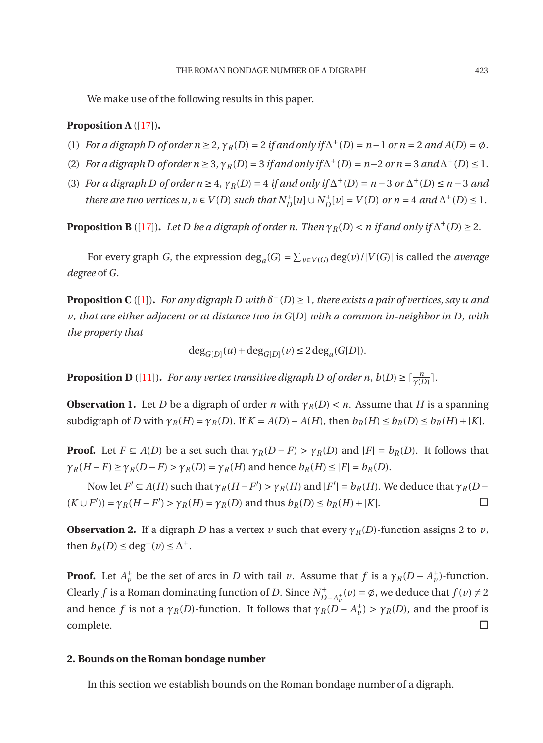<span id="page-2-4"></span>We make use of the following results in this paper.

#### **Proposition A** ([\[17](#page-10-8)])**.**

- (1) *For a digraph D of order*  $n \ge 2$ *,*  $\gamma_R(D) = 2$  *<i>if and only if*  $\Delta^+(D) = n 1$  *or*  $n = 2$  *and A*(*D*) =  $\emptyset$ *.*
- (2) *For a digraph D of order*  $n \ge 3$ *,*  $\gamma_R(D) = 3$  *<i>if and only if*  $\Delta^+(D) = n-2$  *or*  $n = 3$  *and*  $\Delta^+(D) \le 1$ *.*
- (3) *For a digraph D of order*  $n \geq 4$ *,*  $\gamma_R(D) = 4$  *<i>if and only if*  $\Delta^+(D) = n 3$  *or*  $\Delta^+(D) \leq n 3$  *and there are two vertices u,*  $v \in V(D)$  *such that*  $N_D^+[u] \cup N_D^+[v] = V(D)$  *or*  $n = 4$  *and*  $\Delta^+(D) \leq 1$ *.*

<span id="page-2-0"></span>**Proposition B** ([\[17](#page-10-8)]). *Let D be a digraph of order n. Then*  $\gamma_R(D) < n$  *if and only if*  $\Delta^+(D) \geq 2$ *.* 

<span id="page-2-2"></span>For every graph *G*, the expression deg<sub>*a*</sub>(*G*) =  $\sum_{v \in V(G)} \deg(v) / |V(G)|$  is called the *average degree* of *G*.

**Proposition C** ([\[1\]](#page-10-18)). *For any digraph D with*  $\delta^{-}(D) \geq 1$ , there exists a pair of vertices, say u and *v, that are either adjacent or at distance two in G*[*D*] *with a common in-neighbor in D, with the property that*

$$
\deg_{G[D]}(u) + \deg_{G[D]}(v) \le 2 \deg_a(G[D]).
$$

<span id="page-2-5"></span><span id="page-2-3"></span>**Proposition D** ([\[11](#page-10-19)]). *For any vertex transitive digraph D of order n, b*(*D*)  $\geq \lceil \frac{n}{\gamma(D)} \rceil$ .

**Observation 1.** Let *D* be a digraph of order *n* with  $\gamma_R(D) < n$ . Assume that *H* is a spanning subdigraph of D with  $\gamma_R(H) = \gamma_R(D)$ . If  $K = A(D) - A(H)$ , then  $b_R(H) \leq b_R(D) \leq b_R(H) + |K|$ .

**Proof.** Let  $F \subseteq A(D)$  be a set such that  $\gamma_R(D - F) > \gamma_R(D)$  and  $|F| = b_R(D)$ . It follows that  $\gamma_R(H - F) \geq \gamma_R(D - F) > \gamma_R(D) = \gamma_R(H)$  and hence  $b_R(H) \leq |F| = b_R(D)$ .

Now let  $F' \subseteq A(H)$  such that  $\gamma_R(H - F') > \gamma_R(H)$  and  $|F'| = b_R(H)$ . We deduce that  $\gamma_R(D (K \cup F')$ ) =  $\gamma_R(H - F') > \gamma_R(H) = \gamma_R(D)$  and thus  $b_R(D) \le b_R(H) + |K|$ . □

**Observation 2.** If a digraph *D* has a vertex  $\nu$  such that every  $\gamma_R(D)$ -function assigns 2 to  $\nu$ , then  $b_R(D) \leq deg^+(v) \leq \Delta^+$ .

**Proof.** Let  $A_v^+$  be the set of arcs in *D* with tail *v*. Assume that *f* is a  $\gamma_R(D - A_v^+)$ -function. Clearly *f* is a Roman dominating function of *D*. Since  $N_p^+$  $\sum_{D-A_v^+}^{A_v}(v) = \emptyset$ *, we deduce that*  $f(v) \neq 2$ and hence *f* is not a  $\gamma_R(D)$ -function. It follows that  $\gamma_R(D - A_v^+) > \gamma_R(D)$ , and the proof is complete.

# **2. Bounds on the Roman bondage number**

<span id="page-2-1"></span>In this section we establish bounds on the Roman bondage number of a digraph.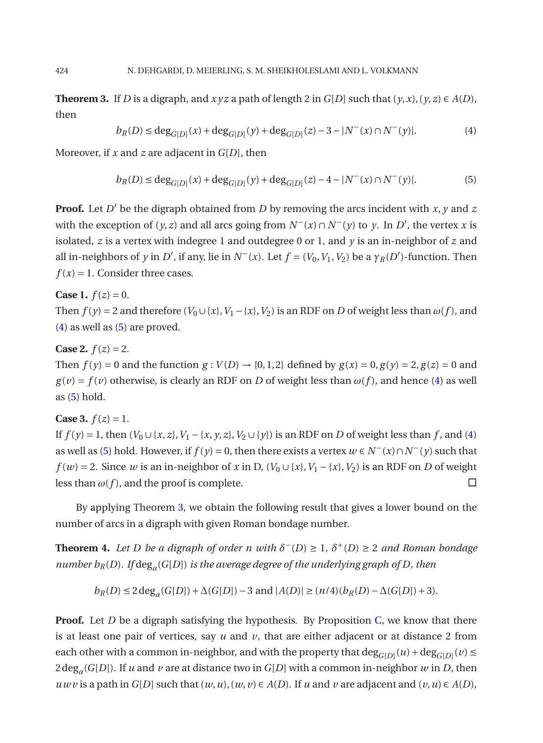<span id="page-3-0"></span>**Theorem 3.** If *D* is a digraph, and  $xyz$  a path of length 2 in  $G[D]$  such that  $(y, x)$ ,  $(y, z) \in A(D)$ , then

<span id="page-3-1"></span>
$$
b_R(D) \le \deg_{G[D]}(x) + \deg_{G[D]}(y) + \deg_{G[D]}(z) - 3 - |N^-(x) \cap N^-(y)|. \tag{4}
$$

Moreover, if *x* and *z* are adjacent in *G*[*D*], then

$$
b_R(D) \le \deg_{G[D]}(x) + \deg_{G[D]}(y) + \deg_{G[D]}(z) - 4 - |N^-(x) \cap N^-(y)|. \tag{5}
$$

**Proof.** Let *D* ′ be the digraph obtained from *D* by removing the arcs incident with *x*, *y* and *z* with the exception of  $(y, z)$  and all arcs going from  $N^-(x) \cap N^-(y)$  to  $y$ . In  $D'$ , the vertex  $x$  is isolated,  $\bar{z}$  is a vertex with indegree 1 and outdegree 0 or 1, and  $\gamma$  is an in-neighbor of  $\bar{z}$  and all in-neighbors of *y* in *D'*, if any, lie in  $N^-(x)$ . Let  $f = (V_0, V_1, V_2)$  be a  $\gamma_R(D')$ -function. Then  $f(x) = 1$ . Consider three cases.

#### **Case 1.**  $f(z) = 0$ .

Then  $f(y) = 2$  and therefore  $(V_0 \cup \{x\}, V_1 - \{x\}, V_2)$  is an RDF on *D* of weight less than  $\omega(f)$ , and [\(4\)](#page-3-0) as well as [\(5\)](#page-3-1) are proved.

# **Case 2.**  $f(z) = 2$ .

Then  $f(y) = 0$  and the function  $g: V(D) \rightarrow \{0, 1, 2\}$  defined by  $g(x) = 0$ ,  $g(y) = 2$ ,  $g(z) = 0$  and  $g(v) = f(v)$  otherwise, is clearly an RDF on *D* of weight less than  $\omega(f)$ , and hence [\(4\)](#page-3-0) as well as  $(5)$  hold.

# **Case 3.**  $f(z) = 1$ .

If *f* (*y*) = 1, then (*V*<sub>0</sub> ∪ {*x*, *z*}, *V*<sub>1</sub> − {*x*, *y*, *z*}, *V*<sub>2</sub> ∪ {*y*}) is an RDF on *D* of weight less than *f*, and [\(4\)](#page-3-0) as well as [\(5\)](#page-3-1) hold. However, if  $f(y) = 0$ , then there exists a vertex  $w \in N^{-}(x) \cap N^{-}(y)$  such that *f* (*w*) = 2. Since *w* is an in-neighbor of *x* in D, (*V*<sub>0</sub> ∪ {*x*}, *V*<sub>1</sub> − {*x*}, *V*<sub>2</sub>) is an RDF on *D* of weight less than  $\omega(f)$ , and the proof is complete.  $\square$ 

By applying Theorem [3,](#page-2-1) we obtain the following result that gives a lower bound on the number of arcs in a digraph with given Roman bondage number.

**Theorem 4.** Let D be a digraph of order n with  $\delta^{-}(D) \geq 1$ ,  $\delta^{+}(D) \geq 2$  and Roman bondage *number bR*(*D*)*. If* deg*<sup>a</sup>* (*G*[*D*]) *is the average degree of the underlying graph of D, then*

$$
b_R(D) \le 2 \deg_a(G[D]) + \Delta(G[D]) - 3 \text{ and } |A(D)| \ge (n/4)(b_R(D) - \Delta(G[D]) + 3).
$$

**Proof.** Let *D* be a digraph satisfying the hypothesis. By Proposition *C*, we know that there is at least one pair of vertices, say  $u$  and  $v$ , that are either adjacent or at distance 2 from each other with a common in-neighbor, and with the property that  $\deg_{G[D]}(u) + \deg_{G[D]}(v) \leq$  $2\deg_a(G[D])$ . If *u* and *v* are at distance two in  $G[D]$  with a common in-neighbor *w* in *D*, then *uwv* is a path in *G*[*D*] such that  $(w, u)$ ,  $(w, v) \in A(D)$ . If *u* and *v* are adjacent and  $(v, u) \in A(D)$ ,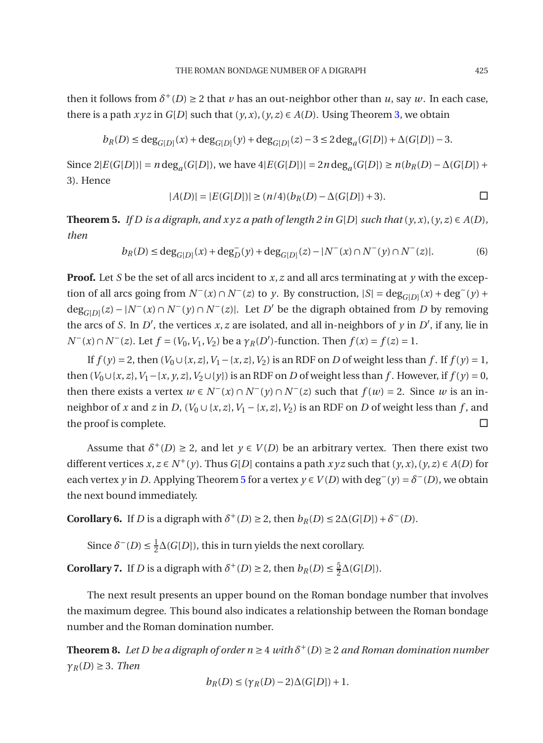then it follows from  $\delta^+(D) \geq 2$  that *v* has an out-neighbor other than *u*, say *w*. In each case, there is a path  $xyz$  in  $G[D]$  such that  $(y, x)$ ,  $(y, z) \in A(D)$ . Using Theorem [3,](#page-2-1) we obtain

$$
b_R(D) \le \deg_{G[D]}(x) + \deg_{G[D]}(y) + \deg_{G[D]}(z) - 3 \le 2 \deg_a(G[D]) + \Delta(G[D]) - 3.
$$

Since  $2|E(G[D])| = n \deg_a(G[D]),$  we have  $4|E(G[D])| = 2n \deg_a(G[D]) \ge n(b_R(D) - \Delta(G[D]) +$ 3). Hence

$$
|A(D)| = |E(G[D])| \ge (n/4)(b_R(D) - \Delta(G[D]) + 3).
$$

<span id="page-4-0"></span>**Theorem 5.** *If D* is a digraph, and  $x \, y \, z$  a path of length 2 in G[*D*] such that  $(y, x)$ ,  $(y, z) \in A(D)$ , *then*

$$
b_R(D) \le \deg_{G[D]}(x) + \deg_D^-(y) + \deg_{G[D]}(z) - |N^-(x) \cap N^-(y) \cap N^-(z)|. \tag{6}
$$

**Proof.** Let *S* be the set of all arcs incident to *x*, *z* and all arcs terminating at *y* with the exception of all arcs going from  $N^-(x) \cap N^-(z)$  to *y*. By construction,  $|S| = \deg_{G[D]}(x) + \deg^-(y) +$ deg<sub>*G*[*D*]</sub>(*z*) − |*N*<sup>−</sup>(*x*) ∩ *N*<sup>−</sup>(*y*) ∩ *N*<sup>−</sup>(*z*)|. Let *D*<sup>'</sup> be the digraph obtained from *D* by removing the arcs of *S*. In *D'*, the vertices *x*, *z* are isolated, and all in-neighbors of *y* in *D'*, if any, lie in *N*<sup>−</sup>(*x*)∩ *N*<sup>−</sup>(*z*). Let *f* = (*V*<sub>0</sub>, *V*<sub>1</sub>, *V*<sub>2</sub>) be a *γ*<sub>*R*</sub>(*D*<sup> $′$ </sup>)-function. Then *f* (*x*) = *f*(*z*) = 1.

If  $f(y) = 2$ , then  $(V_0 \cup \{x, z\}, V_1 - \{x, z\}, V_2)$  is an RDF on *D* of weight less than *f* . If  $f(y) = 1$ , then  $(V_0 \cup \{x, z\}, V_1 - \{x, y, z\}, V_2 \cup \{y\})$  is an RDF on *D* of weight less than *f* . However, if  $f(y) = 0$ , then there exists a vertex  $w \in N^{-}(x) \cap N^{-}(y) \cap N^{-}(z)$  such that  $f(w) = 2$ . Since w is an inneighbor of *x* and *z* in *D*,  $(V_0 \cup \{x, z\}, V_1 - \{x, z\}, V_2)$  is an RDF on *D* of weight less than *f*, and the proof is complete.  $\square$ 

Assume that  $\delta^+(D) \geq 2$ , and let  $y \in V(D)$  be an arbitrary vertex. Then there exist two different vertices  $x, z \in N^+(y)$ . Thus  $G[D]$  contains a path  $xyz$  such that  $(y, x), (y, z) \in A(D)$  for each vertex *y* in *D*. Applying Theorem [5](#page-4-0) for a vertex *y* ∈ *V*(*D*) with deg<sup> $−$ </sup>(*y*) =  $δ<sup>−</sup>(D)$ , we obtain the next bound immediately.

<span id="page-4-1"></span>**Corollary 6.** If *D* is a digraph with  $\delta^+(D) \geq 2$ , then  $b_R(D) \leq 2\Delta(G[D]) + \delta^-(D)$ .

Since  $\delta^{-}(D) \leq \frac{1}{2}$  $\frac{1}{2}\Delta(G[D])$ , this in turn yields the next corollary.

**Corollary 7.** If *D* is a digraph with  $\delta^+(D) \geq 2$ , then  $b_R(D) \leq \frac{5}{2}$  $\frac{5}{2}\Delta(G[D]).$ 

The next result presents an upper bound on the Roman bondage number that involves the maximum degree. This bound also indicates a relationship between the Roman bondage number and the Roman domination number.

**Theorem 8.** Let D be a digraph of order  $n \geq 4$  with  $\delta^+(D) \geq 2$  and Roman domination number  $γ<sub>R</sub>(D) ≥ 3$ *. Then* 

$$
b_R(D) \le (\gamma_R(D) - 2)\Delta(G[D]) + 1.
$$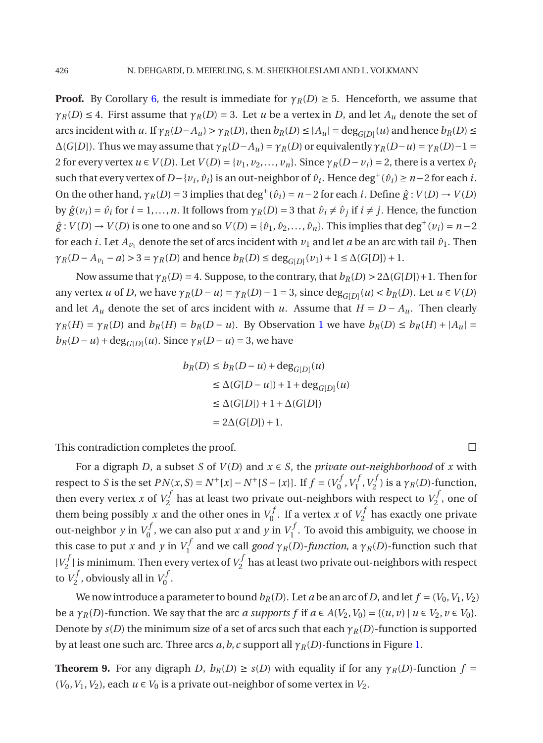**Proof.** By Corollary [6,](#page-4-1) the result is immediate for  $\gamma_R(D) \ge 5$ . Henceforth, we assume that  $\gamma_R(D) \leq 4$ . First assume that  $\gamma_R(D) = 3$ . Let *u* be a vertex in *D*, and let  $A_u$  denote the set of arcs incident with u. If  $\gamma_R(D-A_u) > \gamma_R(D)$ , then  $b_R(D) \le |A_u| = \deg_{G[D]}(u)$  and hence  $b_R(D) \le$  $\Delta(G[D])$ . Thus we may assume that  $\gamma_R(D-A_u) = \gamma_R(D)$  or equivalently  $\gamma_R(D-u) = \gamma_R(D)-1$ 2 for every vertex  $u \in V(D)$ . Let  $V(D) = \{v_1, v_2, \ldots, v_n\}$ . Since  $\gamma_R(D - v_i) = 2$ , there is a vertex  $\hat{v}_i$ such that every vertex of *D*−{*v*<sub>*i*</sub></sub>,  $\hat{v}_i$ } is an out-neighbor of  $\hat{v}_i$ . Hence deg<sup>+</sup>( $\hat{v}_i$ ) ≥ *n*−2 for each *i*. On the other hand,  $\gamma_R(D) = 3$  implies that deg<sup>+</sup>( $\hat{v}_i$ ) = *n* − 2 for each *i*. Define  $\hat{g}: V(D) \rightarrow V(D)$ by  $\hat{g}(v_i) = \hat{v}_i$  for  $i = 1,...,n$ . It follows from  $\gamma_R(D) = 3$  that  $\hat{v}_i \neq \hat{v}_j$  if  $i \neq j$ . Hence, the function  $\hat{g}: V(D) \to V(D)$  is one to one and so  $V(D) = \{\hat{v}_1, \hat{v}_2, \dots, \hat{v}_n\}$ . This implies that deg<sup>+</sup>( $v_i$ ) = *n* − 2 for each *i*. Let  $A_{\nu_1}$  denote the set of arcs incident with  $\nu_1$  and let *a* be an arc with tail  $\hat{\nu}_1$ . Then *γ*<sup>*R*</sup>(*D* − *A*<sup>*v*<sub>1</sub></sub> − *a*) > 3 = *γ*<sub>*R*</sub>(*D*) and hence *b<sub>R</sub>*(*D*) ≤ deg<sub>*G*[*D*]</sub>(*v*<sub>1</sub>) + 1 ≤ ∆(*G*[*D*]) + 1.</sup>

Now assume that  $\gamma_R(D) = 4$ . Suppose, to the contrary, that  $b_R(D) > 2\Delta(G[D]) + 1$ . Then for any vertex *u* of *D*, we have  $\gamma_R(D - u) = \gamma_R(D) - 1 = 3$ , since  $\deg_{G[D]}(u) < b_R(D)$ . Let  $u \in V(D)$ and let  $A_u$  denote the set of arcs incident with *u*. Assume that  $H = D - A_u$ . Then clearly  $\gamma_R(H) = \gamma_R(D)$  and  $b_R(H) = b_R(D - u)$ . By Observation [1](#page-2-3) we have  $b_R(D) \leq b_R(H) + |A_u|$  $b_R(D - u) + \text{deg}_{G[D]}(u)$ . Since  $\gamma_R(D - u) = 3$ , we have

$$
b_R(D) \le b_R(D - u) + \deg_{G[D]}(u)
$$
  
\n
$$
\le \Delta(G[D - u]) + 1 + \deg_{G[D]}(u)
$$
  
\n
$$
\le \Delta(G[D]) + 1 + \Delta(G[D])
$$
  
\n
$$
= 2\Delta(G[D]) + 1.
$$

This contradiction completes the proof.

For a digraph *D*, a subset *S* of  $V(D)$  and  $x \in S$ , the *private out-neighborhood* of *x* with respect to *S* is the set  $PN(x, S) = N^+[x] - N^+[S - \{x\}]$ . If  $f = (V_0^j)$  $\gamma^f_0, V^J_1$  $V_1^f$ ,  $V_2^f$  $\gamma_2^{\prime\prime}$ ) is a  $\gamma_R(D)$ -function, then every vertex *x* of  $V_2^f$  $V_2^f$  has at least two private out-neighbors with respect to  $V_2^f$  $\frac{7}{2}$ , one of them being possibly *x* and the other ones in  $V_0^j$  $V_0^f$ . If a vertex *x* of  $V_2^f$  $\frac{7}{2}$  has exactly one private out-neighbor *y* in  $V_0^j$  $V_0^f$ , we can also put *x* and *y* in  $V_1^f$  $I_1^{\prime}$ . To avoid this ambiguity, we choose in this case to put *x* and *y* in  $V_1^f$ 1 and we call *good γR*(*D*)-*function*, a *γR*(*D*)-function such that  $|V_2^f$  $\sum_{2}^{f}$  | is minimum. Then every vertex of  $V_2^f$  $\frac{7}{2}$  has at least two private out-neighbors with respect to  $V_2^j$  $V_2^f$ , obviously all in  $V_0^f$ ,,<br>0 ·

We now introduce a parameter to bound  $b_R(D)$ . Let *a* be an arc of *D*, and let  $f = (V_0, V_1, V_2)$ be a  $\gamma_R(D)$ -function. We say that the arc *a supports* f if  $a \in A(V_2, V_0) = \{(u, v) \mid u \in V_2, v \in V_0\}$ . Denote by  $s(D)$  the minimum size of a set of arcs such that each  $\gamma_R(D)$ -function is supported by at least one such arc. Three arcs  $a, b, c$  support all  $\gamma_R(D)$ -functions in Figure [1.](#page-6-0)

**Theorem 9.** For any digraph *D*,  $b_R(D) \ge s(D)$  with equality if for any  $\gamma_R(D)$ -function  $f =$  $(V_0, V_1, V_2)$ , each  $u \in V_0$  is a private out-neighbor of some vertex in  $V_2$ .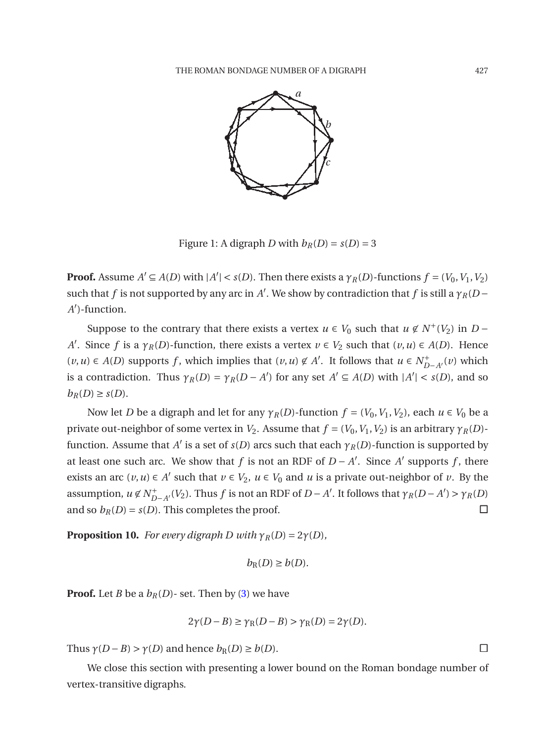

<span id="page-6-0"></span>Figure 1: A digraph *D* with  $b_R(D) = s(D) = 3$ 

**Proof.** Assume  $A' \subseteq A(D)$  with  $|A'| < s(D)$ . Then there exists a  $\gamma_R(D)$ -functions  $f = (V_0, V_1, V_2)$ such that *f* is not supported by any arc in *A'*. We show by contradiction that *f* is still a  $\gamma_R(D -$ *A* ′ )-function.

Suppose to the contrary that there exists a vertex  $u \in V_0$  such that  $u \notin N^+(V_2)$  in  $D -$ *A*<sup> $\prime$ </sup>. Since *f* is a  $\gamma_R(D)$ -function, there exists a vertex  $v \in V_2$  such that  $(v, u) \in A(D)$ . Hence (*v*,*u*) ∈ *A*(*D*) supports *f*, which implies that (*v*,*u*) ∉ *A'*. It follows that *u* ∈  $N_{D-A'}^+(v)$  which is a contradiction. Thus  $\gamma_R(D) = \gamma_R(D - A')$  for any set  $A' \subseteq A(D)$  with  $|A'| < s(D)$ , and so  $b_R(D) \geq s(D)$ .

Now let *D* be a digraph and let for any  $\gamma_R(D)$ -function  $f = (V_0, V_1, V_2)$ , each  $u \in V_0$  be a private out-neighbor of some vertex in  $V_2$ . Assume that  $f = (V_0, V_1, V_2)$  is an arbitrary  $\gamma_R(D)$ function. Assume that *A'* is a set of *s*(*D*) arcs such that each  $\gamma_R(D)$ -function is supported by at least one such arc. We show that *f* is not an RDF of  $D - A'$ . Since  $A'$  supports *f*, there exists an arc  $(v, u) \in A'$  such that  $v \in V_2$ ,  $u \in V_0$  and  $u$  is a private out-neighbor of  $v$ . By the assumption,  $u \notin N^+_{D-A'}(V_2)$ . Thus  $f$  is not an RDF of  $D-A'$ . It follows that  $\gamma_R(D-A') > \gamma_R(D)$ and so  $b_R(D) = s(D)$ . This completes the proof.

<span id="page-6-1"></span>**Proposition 10.** *For every digraph D with*  $\gamma_R(D) = 2\gamma(D)$ *,* 

$$
b_{\mathcal{R}}(D) \ge b(D).
$$

**Proof.** Let *B* be a  $b_R(D)$ - set. Then by [\(3\)](#page-1-0) we have

$$
2\gamma(D - B) \ge \gamma_R(D - B) > \gamma_R(D) = 2\gamma(D).
$$

Thus  $\gamma(D - B) > \gamma(D)$  and hence  $b_R(D) \ge b(D)$ .

<span id="page-6-2"></span>We close this section with presenting a lower bound on the Roman bondage number of vertex-transitive digraphs.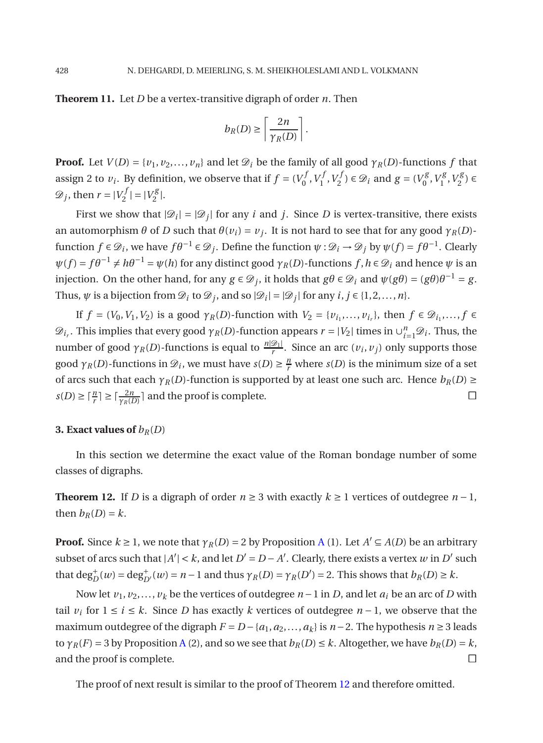**Theorem 11.** Let *D* be a vertex-transitive digraph of order *n*. Then

$$
b_R(D) \ge \left\lceil \frac{2n}{\gamma_R(D)} \right\rceil.
$$

**Proof.** Let  $V(D) = \{v_1, v_2, \ldots, v_n\}$  and let  $\mathcal{D}_i$  be the family of all good  $\gamma_R(D)$ -functions  $f$  that assign 2 to  $v_i$ . By definition, we observe that if  $f = (V_0^j)$  $\sigma_f^f$ ,  $V_1^f$  $V_1^f, V_2^f$  $(z_2^{f}) \in \mathcal{D}_i$  and  $g = (V_0^g)$  $V_0^g, V_1^g$  $V_1^g, V_2^g$  $\binom{5}{2} \in$  $\mathscr{D}_j$ , then  $r = |V_2^j|$  $|V_2^f| = |V_2^g|$  $\frac{78}{2}$ .

First we show that  $|\mathcal{D}_i| = |\mathcal{D}_j|$  for any *i* and *j*. Since *D* is vertex-transitive, there exists an automorphism  $\theta$  of  $D$  such that  $\theta(v_i) = v_j$ . It is not hard to see that for any good  $\gamma_R(D)$ function  $f \in \mathcal{D}_i$ , we have  $f\theta^{-1} \in \mathcal{D}_j$ . Define the function  $\psi : \mathcal{D}_i \to \mathcal{D}_j$  by  $\psi(f) = f\theta^{-1}$ . Clearly  $\psi(f) = f\theta^{-1} \neq h\theta^{-1} = \psi(h)$  for any distinct good  $\gamma_R(D)$ -functions  $f, h \in \mathcal{D}_i$  and hence  $\psi$  is an injection. On the other hand, for any  $g \in \mathcal{D}_j$ , it holds that  $g\theta \in \mathcal{D}_i$  and  $\psi(g\theta) = (g\theta)\theta^{-1} = g$ . Thus,  $\psi$  is a bijection from  $\mathcal{D}_i$  to  $\mathcal{D}_j$ , and so  $|\mathcal{D}_i| = |\mathcal{D}_j|$  for any  $i, j \in \{1, 2, ..., n\}$ .

If  $f = (V_0, V_1, V_2)$  is a good  $\gamma_R(D)$ -function with  $V_2 = \{v_{i_1}, \dots, v_{i_r}\}\$ , then  $f \in \mathcal{D}_{i_1}, \dots, f \in$  $\mathscr{D}_{i_r}$ . This implies that every good  $\gamma_R(D)$ -function appears  $r = |V_2|$  times in  $\cup_{i=1}^n \mathscr{D}_i$ . Thus, the number of good  $\gamma_R(D)$ -functions is equal to  $\frac{n|\mathcal{D}_1|}{r}$ . Since an arc  $(v_i, v_j)$  only supports those good  $\gamma_R(D)$ -functions in  $\mathcal{D}_i$ , we must have  $s(D) \geq \frac{n}{r}$  where  $s(D)$  is the minimum size of a set of arcs such that each  $\gamma_R(D)$ -function is supported by at least one such arc. Hence  $b_R(D) \ge$  $s(D) \ge \lceil \frac{n}{r} \rceil \ge \lceil \frac{2n}{\gamma_R(D)} \rceil$  and the proof is complete.

### **3. Exact values of**  $b_R(D)$

<span id="page-7-0"></span>In this section we determine the exact value of the Roman bondage number of some classes of digraphs.

**Theorem 12.** If *D* is a digraph of order  $n \ge 3$  with exactly  $k \ge 1$  vertices of outdegree  $n-1$ , then  $b_R(D) = k$ .

**Proof.** Since  $k \ge 1$ , we note that  $\gamma_R(D) = 2$  by Proposition [A](#page-2-4) (1). Let  $A' \subseteq A(D)$  be an arbitrary subset of arcs such that  $|A'| < k$ , and let  $D' = D - A'$ . Clearly, there exists a vertex  $w$  in  $D'$  such that  $\deg_D^+(w) = \deg_{D'}^+(w) = n - 1$  and thus  $\gamma_R(D) = \gamma_R(D') = 2$ . This shows that  $b_R(D) \ge k$ .

Now let  $v_1, v_2, \ldots, v_k$  be the vertices of outdegree  $n-1$  in *D*, and let  $a_i$  be an arc of *D* with tail  $v_i$  for  $1 ≤ i ≤ k$ . Since *D* has exactly *k* vertices of outdegree *n* − 1, we observe that the maximum outdegree of the digraph  $F = D - {a_1, a_2, ..., a_k}$  is  $n − 2$ . The hypothesis  $n ≥ 3$  leads to  $\gamma_R(F) = 3$  by Proposition [A](#page-2-4) (2), and so we see that  $b_R(D) \leq k$ . Altogether, we have  $b_R(D) = k$ , and the proof is complete.

The proof of next result is similar to the proof of Theorem [12](#page-7-0) and therefore omitted.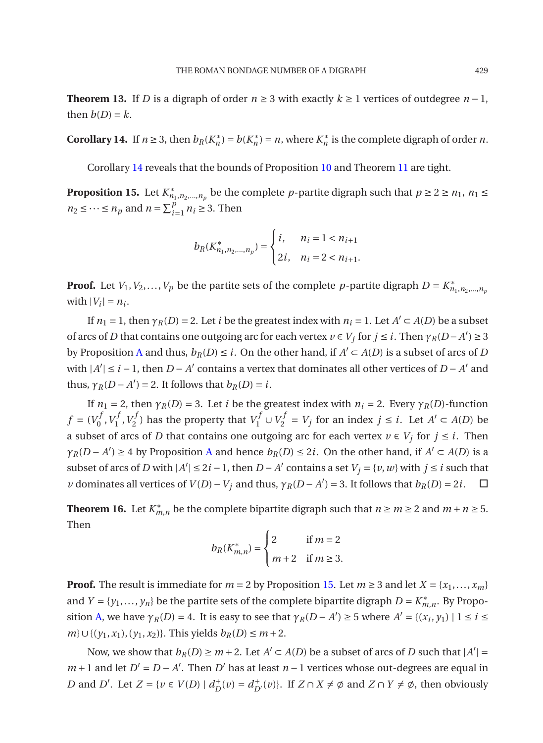**Theorem 13.** If *D* is a digraph of order  $n \ge 3$  with exactly  $k \ge 1$  vertices of outdegree  $n-1$ , then  $b(D) = k$ .

<span id="page-8-0"></span>**Corollary 14.** If  $n \ge 3$ , then  $b_R(K_n^*) = b(K_n^*) = n$ , where  $K_n^*$  is the complete digraph of order *n*.

<span id="page-8-1"></span>Corollary [14](#page-8-0) reveals that the bounds of Proposition [10](#page-6-1) and Theorem [11](#page-6-2) are tight.

**Proposition 15.** Let  $K^*_{n_1,n_2,...,n_p}$  be the complete *p*-partite digraph such that  $p \ge 2 \ge n_1$ ,  $n_1 \le$  $n_2 \leq \cdots \leq n_p$  and  $n = \sum_{i=1}^p n_i \geq 3$ . Then

$$
b_R(K_{n_1, n_2, \dots, n_p}^*) = \begin{cases} i, & n_i = 1 < n_{i+1} \\ 2i, & n_i = 2 < n_{i+1} \end{cases}
$$

**Proof.** Let *V*<sub>1</sub>, *V*<sub>2</sub>,...,*V*<sub>*p*</sub> be the partite sets of the complete *p*-partite digraph  $D = K^*_{n_1, n_2, ..., n_p}$ with  $|V_i| = n_i$ .

If  $n_1 = 1$ , then  $\gamma_R(D) = 2$ . Let *i* be the greatest index with  $n_i = 1$ . Let  $A' \subset A(D)$  be a subset of arcs of *D* that contains one outgoing arc for each vertex  $v \in V_j$  for  $j \le i$ . Then  $\gamma_R(D-A') \ge 3$ by Proposition [A](#page-2-4) and thus,  $b_R(D) \leq i$ . On the other hand, if  $A' \subset A(D)$  is a subset of arcs of *D* with  $|A'|$  ≤ *i* − 1, then *D* − *A*<sup> $\prime$ </sup> contains a vertex that dominates all other vertices of *D* − *A*<sup> $\prime$ </sup> and thus,  $\gamma_R(D - A') = 2$ . It follows that  $b_R(D) = i$ .

If  $n_1 = 2$ , then  $\gamma_R(D) = 3$ . Let *i* be the greatest index with  $n_i = 2$ . Every  $\gamma_R(D)$ -function  $f = (V_0^f)$  $\sigma_f^f$ ,  $V_1^f$  $V_1^f$ ,  $V_2^f$  $\sum_{i=1}^{f}$ ) has the property that  $V_1^f \cup V_2^f = V_j$  for an index *j* ≤ *i*. Let *A*<sup>*'*</sup> ⊂ *A*(*D*) be a subset of arcs of *D* that contains one outgoing arc for each vertex  $v \in V_j$  for  $j \leq i$ . Then *γ*<sup>*R*</sup>(*D* − *[A](#page-2-4)*<sup> $'$ </sup>) ≥ 4 by Proposition A and hence *b<sub>R</sub>*(*D*) ≤ 2*i*. On the other hand, if *A*<sup> $'$ </sup> ⊂ *A*(*D*) is a subset of arcs of *D* with  $|A'|$  ≤ 2*i* − 1, then *D* − *A*<sup> $\prime$ </sup> contains a set  $V_j$  = {*v*, *w*} with *j* ≤ *i* such that *v* dominates all vertices of *V*(*D*) − *V<sub>j</sub>* and thus,  $\gamma_R(D - A') = 3$ . It follows that  $b_R(D) = 2i$ . □

**Theorem 16.** Let  $K_{m,n}^*$  be the complete bipartite digraph such that  $n \ge m \ge 2$  and  $m + n \ge 5$ . Then

$$
b_R(K_{m,n}^*) = \begin{cases} 2 & \text{if } m = 2\\ m+2 & \text{if } m \ge 3. \end{cases}
$$

**Proof.** The result is immediate for  $m = 2$  by Proposition [15.](#page-8-1) Let  $m \geq 3$  and let  $X = \{x_1, \ldots, x_m\}$ and  $Y = \{y_1, \ldots, y_n\}$  be the partite sets of the complete bipartite digraph  $D = K^*_{m,n}$ . By Propo-sition [A,](#page-2-4) we have  $\gamma_R(D) = 4$ . It is easy to see that  $\gamma_R(D - A') \ge 5$  where  $A' = \{(x_i, y_1) | 1 \le i \le n\}$ *m*}∪{( $y_1, x_1$ ), ( $y_1, x_2$ )}. This yields  $b_R(D) \le m+2$ .

Now, we show that  $b_R(D) \ge m + 2$ . Let  $A' \subset A(D)$  be a subset of arcs of *D* such that  $|A'| =$ *m* + 1 and let *D*<sup> $′$ </sup> = *D* − *A*<sup> $′$ </sup>. Then *D*<sup> $′$ </sup> has at least *n* − 1 vertices whose out-degrees are equal in *D* and *D'*. Let  $Z = \{v \in V(D) \mid d_D^+(v) = d_{D'}^+(v)\}$ . If  $Z \cap X \neq \emptyset$  and  $Z \cap Y \neq \emptyset$ , then obviously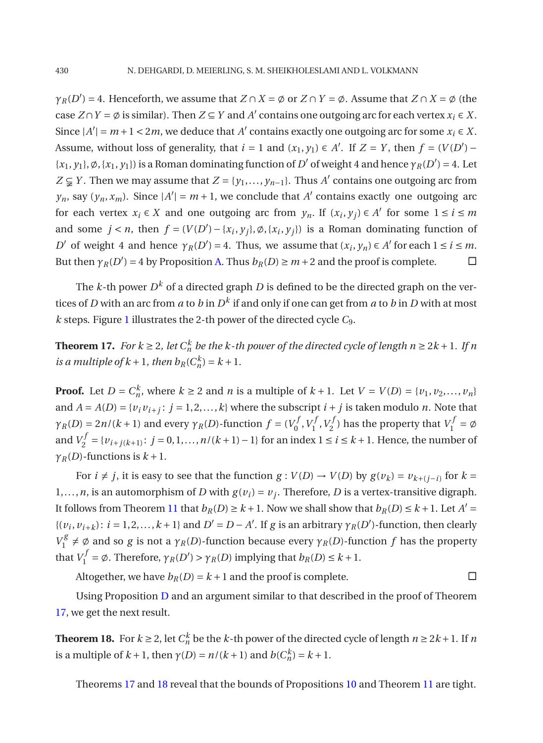*γ*<sub>*R*</sub>(*D*<sup>'</sup>) = 4. Henceforth, we assume that *Z* ∩ *X* =  $\phi$  or *Z* ∩ *Y* =  $\phi$ . Assume that *Z* ∩ *X* =  $\phi$  (the case  $Z \cap Y = \emptyset$  is similar). Then  $Z \subseteq Y$  and  $A'$  contains one outgoing arc for each vertex  $x_i \in X$ . Since  $|A'| = m + 1 < 2m$ , we deduce that *A'* contains exactly one outgoing arc for some  $x_i \in X$ . Assume, without loss of generality, that  $i = 1$  and  $(x_1, y_1) \in A'$ . If  $Z = Y$ , then  $f = (V(D') - I')$  $\{x_1, y_1\}, \emptyset, \{x_1, y_1\}$  is a Roman dominating function of *D'* of weight 4 and hence  $\gamma_R(D') = 4$ . Let *Z* ⊊ *Y*. Then we may assume that *Z* = {*y*<sub>1</sub>,..., *y*<sub>*n*−1</sub>}. Thus *A*<sup> $\prime$ </sup> contains one outgoing arc from  $y_n$ , say  $(y_n, x_m)$ . Since  $|A'| = m + 1$ , we conclude that *A'* contains exactly one outgoing arc for each vertex  $x_i \in X$  and one outgoing arc from  $y_n$ . If  $(x_i, y_j) \in A'$  for some  $1 \le i \le m$ and some  $j < n$ , then  $f = (V(D') - \{x_i, y_j\}, \emptyset, \{x_i, y_j\})$  is a Roman dominating function of *D*<sup> $\prime$ </sup> of weight 4 and hence  $\gamma_R(D') = 4$ . Thus, we assume that  $(x_i, y_n) \in A'$  for each  $1 \le i \le m$ . But then  $\gamma_R(D') = 4$  by Proposition [A.](#page-2-4) Thus  $b_R(D) \ge m + 2$  and the proof is complete.  $\Box$ 

The *k*-th power  $D^k$  of a directed graph  $D$  is defined to be the directed graph on the vertices of  $D$  with an arc from  $a$  to  $b$  in  $D^k$  if and only if one can get from  $a$  to  $b$  in  $D$  with at most *k* steps. Figure [1](#page-6-0) illustrates the 2-th power of the directed cycle *C*9.

<span id="page-9-0"></span>**Theorem 17.** *For k*  $\geq$  2*, let*  $C_n^k$  *be the k-th power of the directed cycle of length n*  $\geq$  2*k* + 1*. If n is a multiple of*  $k + 1$ *, then*  $b_R(C_n^k) = k + 1$ *.* 

**Proof.** Let  $D = C_n^k$ , where  $k \ge 2$  and *n* is a multiple of  $k + 1$ . Let  $V = V(D) = \{v_1, v_2, ..., v_n\}$ and  $A = A(D) = \{v_i v_{i+j}: j = 1, 2, ..., k\}$  where the subscript  $i + j$  is taken modulo *n*. Note that *γ*<sub>*R*</sub>(*D*) = 2*n*/(*k* + 1) and every *γ*<sub>*R*</sub>(*D*)-function *f* = (*V*<sub>0</sub><sup>*f*</sup>)  $\sigma^{f}_{0}$ ,  $V^{J}_{1}$  $V_1^f, V_2^f$  $V_2^f$ ) has the property that  $V_1^f = \emptyset$ and  $V_2^f = \{v_{i+j(k+1)}: j = 0, 1, ..., n/(k+1) - 1\}$  for an index 1 ≤ *i* ≤ *k* + 1. Hence, the number of  $\gamma_R(D)$ -functions is  $k+1$ .

For  $i \neq j$ , it is easy to see that the function  $g : V(D) \to V(D)$  by  $g(v_k) = v_{k+(j-i)}$  for  $k =$ 1,..., *n*, is an automorphism of *D* with  $g(v_i) = v_j$ . Therefore, *D* is a vertex-transitive digraph. It follows from Theorem [11](#page-6-2) that  $b_R(D) \ge k+1$ . Now we shall show that  $b_R(D) \le k+1$ . Let  $A' =$  $\{(v_i, v_{i+k}) : i = 1, 2, \ldots, k+1\}$  and  $D' = D - A'$ . If *g* is an arbitrary  $\gamma_R(D')$ -function, then clearly  $V_1^g$  $\gamma_1^6 \neq \emptyset$  and so *g* is not a  $\gamma_R(D)$ -function because every  $\gamma_R(D)$ -function *f* has the property that  $V_1^f = \emptyset$ . Therefore,  $\gamma_R(D') > \gamma_R(D)$  implying that  $b_R(D) \leq k + 1$ .

Altogether, we have  $b_R(D) = k + 1$  and the proof is complete.

<span id="page-9-1"></span>Using Proposition [D](#page-2-5) and an argument similar to that described in the proof of Theorem [17,](#page-9-0) we get the next result.

**Theorem 18.** For  $k \ge 2$ , let  $C_n^k$  be the *k*-th power of the directed cycle of length  $n \ge 2k + 1$ . If *n* is a multiple of  $k + 1$ , then  $\gamma(D) = n/(k+1)$  and  $b(C_n^k) = k + 1$ .

Theorems [17](#page-9-0) and [18](#page-9-1) reveal that the bounds of Propositions [10](#page-6-1) and Theorem [11](#page-6-2) are tight.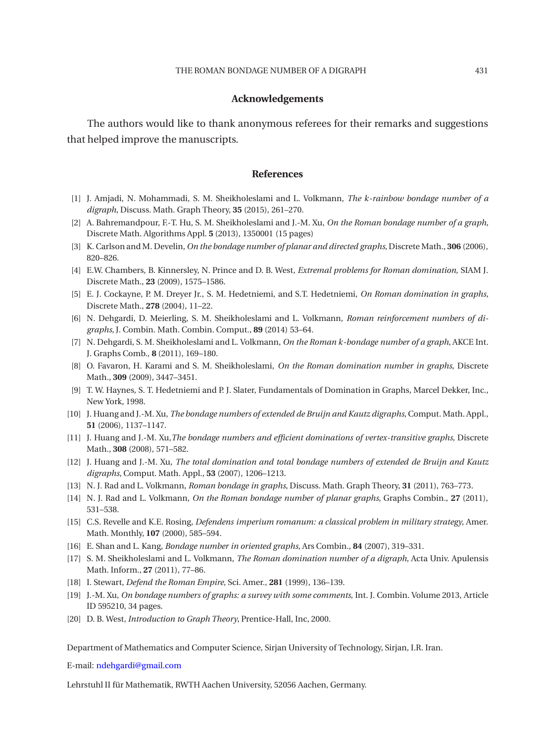### **Acknowledgements**

The authors would like to thank anonymous referees for their remarks and suggestions that helped improve the manuscripts.

### **References**

- <span id="page-10-18"></span>[1] J. Amjadi, N. Mohammadi, S. M. Sheikholeslami and L. Volkmann, *The k-rainbow bondage number of a digraph*, Discuss. Math. Graph Theory, **35** (2015), 261–270.
- <span id="page-10-15"></span>[2] A. Bahremandpour, F.-T. Hu, S. M. Sheikholeslami and J.-M. Xu, *On the Roman bondage number of a graph*, Discrete Math. Algorithms Appl. **5** (2013), 1350001 (15 pages)
- <span id="page-10-2"></span>[3] K. Carlson and M. Develin, *On the bondage number of planar and directed graphs*, Discrete Math., **306** (2006), 820–826.
- <span id="page-10-11"></span>[4] E.W. Chambers, B. Kinnersley, N. Prince and D. B. West, *Extremal problems for Roman domination*, SIAM J. Discrete Math., **23** (2009), 1575–1586.
- <span id="page-10-12"></span>[5] E. J. Cockayne, P. M. Dreyer Jr., S. M. Hedetniemi, and S.T. Hedetniemi, *On Roman domination in graphs*, Discrete Math., **278** (2004), 11–22.
- <span id="page-10-7"></span>[6] N. Dehgardi, D. Meierling, S. M. Sheikholeslami and L. Volkmann, *Roman reinforcement numbers of digraphs*, J. Combin. Math. Combin. Comput., **89** (2014) 53–64.
- <span id="page-10-17"></span>[7] N. Dehgardi, S. M. Sheikholeslami and L. Volkmann, *On the Roman k-bondage number of a graph*, AKCE Int. J. Graphs Comb., **8** (2011), 169–180.
- <span id="page-10-13"></span>[8] O. Favaron, H. Karami and S. M. Sheikholeslami, *On the Roman domination number in graphs*, Discrete Math., **309** (2009), 3447–3451.
- <span id="page-10-0"></span>[9] T. W. Haynes, S. T. Hedetniemi and P. J. Slater, Fundamentals of Domination in Graphs, Marcel Dekker, Inc., New York, 1998.
- <span id="page-10-4"></span>[10] J. Huang and J.-M. Xu, *The bondage numbers of extended de Bruijn and Kautz digraphs*, Comput. Math. Appl., **51** (2006), 1137–1147.
- <span id="page-10-19"></span>[11] J. Huang and J.-M. Xu,*The bondage numbers and efficient dominations of vertex-transitive graphs*, Discrete Math., **308** (2008), 571–582.
- <span id="page-10-5"></span>[12] J. Huang and J.-M. Xu, *The total domination and total bondage numbers of extended de Bruijn and Kautz digraphs*, Comput. Math. Appl., **53** (2007), 1206–1213.
- <span id="page-10-14"></span>[13] N. J. Rad and L. Volkmann, *Roman bondage in graphs*, Discuss. Math. Graph Theory, **31** (2011), 763–773.
- <span id="page-10-16"></span>[14] N. J. Rad and L. Volkmann, *On the Roman bondage number of planar graphs*, Graphs Combin., **27** (2011), 531–538.
- <span id="page-10-10"></span>[15] C.S. Revelle and K.E. Rosing, *Defendens imperium romanum: a classical problem in military strategy*, Amer. Math. Monthly, **107** (2000), 585–594.
- <span id="page-10-3"></span>[16] E. Shan and L. Kang, *Bondage number in oriented graphs*, Ars Combin., **84** (2007), 319–331.
- <span id="page-10-8"></span>[17] S. M. Sheikholeslami and L. Volkmann, *The Roman domination number of a digraph*, Acta Univ. Apulensis Math. Inform., **27** (2011), 77–86.
- <span id="page-10-9"></span>[18] I. Stewart, *Defend the Roman Empire*, Sci. Amer., **281** (1999), 136–139.
- <span id="page-10-6"></span>[19] J.-M. Xu, *On bondage numbers of graphs: a survey with some comments*, Int. J. Combin. Volume 2013, Article ID 595210, 34 pages.
- <span id="page-10-1"></span>[20] D. B. West, *Introduction to Graph Theory*, Prentice-Hall, Inc, 2000.

Department of Mathematics and Computer Science, Sirjan University of Technology, Sirjan, I.R. Iran.

E-mail: [ndehgardi@gmail.com](mailto:ndehgardi@gmail.com)

Lehrstuhl II für Mathematik, RWTH Aachen University, 52056 Aachen, Germany.